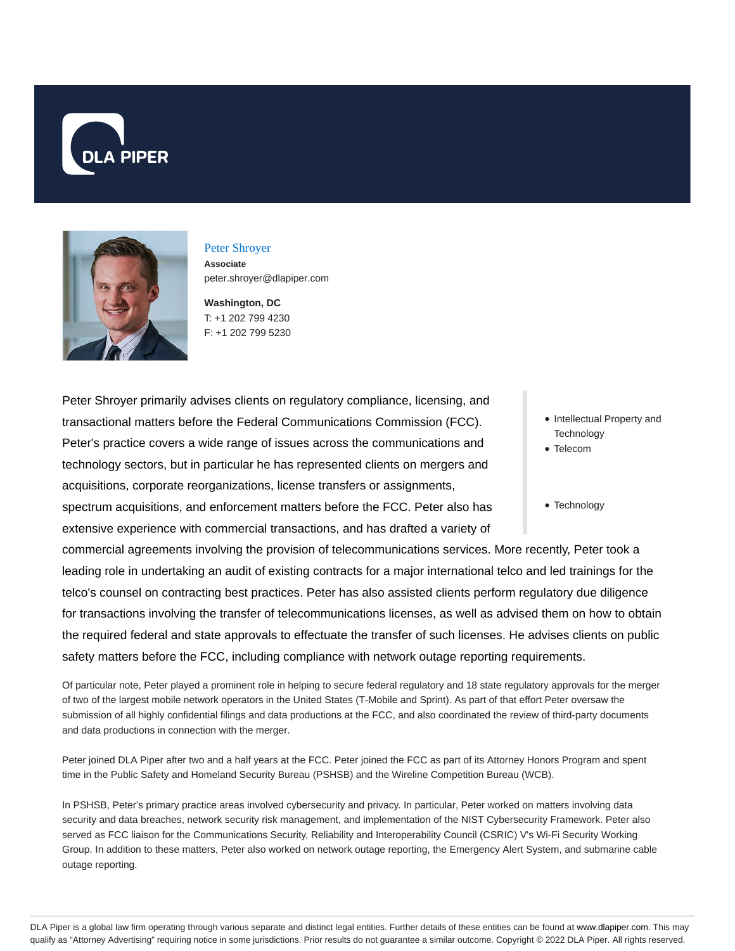



# Peter Shroyer

**Associate** peter.shroyer@dlapiper.com

**Washington, DC** T: +1 202 799 4230 F: +1 202 799 5230

Peter Shroyer primarily advises clients on regulatory compliance, licensing, and transactional matters before the Federal Communications Commission (FCC). Peter's practice covers a wide range of issues across the communications and technology sectors, but in particular he has represented clients on mergers and acquisitions, corporate reorganizations, license transfers or assignments,

- spectrum acquisitions, and enforcement matters before the FCC. Peter also has extensive experience with commercial transactions, and has drafted a variety of
- Intellectual Property and **Technology**
- Telecom

#### • Technology

commercial agreements involving the provision of telecommunications services. More recently, Peter took a leading role in undertaking an audit of existing contracts for a major international telco and led trainings for the telco's counsel on contracting best practices. Peter has also assisted clients perform regulatory due diligence for transactions involving the transfer of telecommunications licenses, as well as advised them on how to obtain the required federal and state approvals to effectuate the transfer of such licenses. He advises clients on public safety matters before the FCC, including compliance with network outage reporting requirements.

Of particular note, Peter played a prominent role in helping to secure federal regulatory and 18 state regulatory approvals for the merger of two of the largest mobile network operators in the United States (T-Mobile and Sprint). As part of that effort Peter oversaw the submission of all highly confidential filings and data productions at the FCC, and also coordinated the review of third-party documents and data productions in connection with the merger.

Peter joined DLA Piper after two and a half years at the FCC. Peter joined the FCC as part of its Attorney Honors Program and spent time in the Public Safety and Homeland Security Bureau (PSHSB) and the Wireline Competition Bureau (WCB).

In PSHSB, Peter's primary practice areas involved cybersecurity and privacy. In particular, Peter worked on matters involving data security and data breaches, network security risk management, and implementation of the NIST Cybersecurity Framework. Peter also served as FCC liaison for the Communications Security, Reliability and Interoperability Council (CSRIC) V's Wi-Fi Security Working Group. In addition to these matters, Peter also worked on network outage reporting, the Emergency Alert System, and submarine cable outage reporting.

DLA Piper is a global law firm operating through various separate and distinct legal entities. Further details of these entities can be found at www.dlapiper.com. This may qualify as "Attorney Advertising" requiring notice in some jurisdictions. Prior results do not guarantee a similar outcome. Copyright © 2022 DLA Piper. All rights reserved.